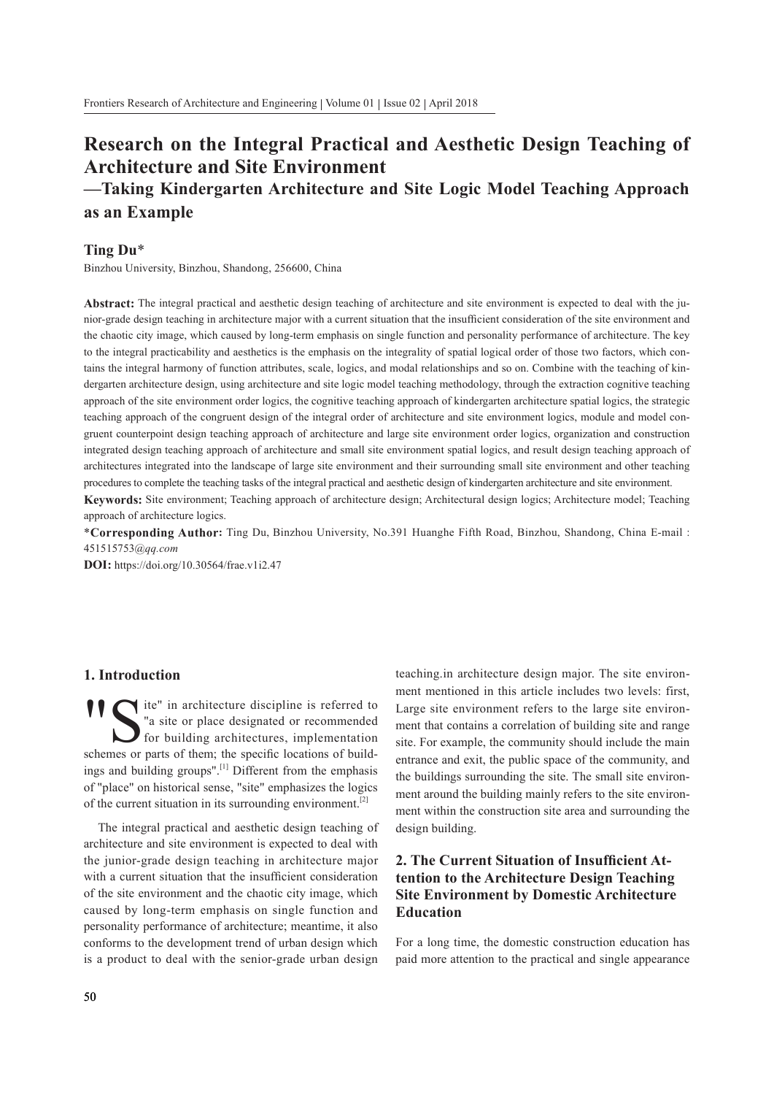# Research on the Integral Practical and Aesthetic Design Teaching of Architecture and Site Environment —Taking Kindergarten Architecture and Site Logic Model Teaching Approach as an Example

# Ting Du\*

Binzhou University, Binzhou, Shandong, 256600, China

Abstract: The integral practical and aesthetic design teaching of architecture and site environment is expected to deal with the junior-grade design teaching in architecture major with a current situation that the insufficient consideration of the site environment and the chaotic city image, which caused by long-term emphasis on single function and personality performance of architecture. The key to the integral practicability and aesthetics is the emphasis on the integrality of spatial logical order of those two factors, which contains the integral harmony of function attributes, scale, logics, and modal relationships and so on. Combine with the teaching of kindergarten architecture design, using architecture and site logic model teaching methodology, through the extraction cognitive teaching approach of the site environment order logics, the cognitive teaching approach of kindergarten architecture spatial logics, the strategic teaching approach of the congruent design of the integral order of architecture and site environment logics, module and model congruent counterpoint design teaching approach of architecture and large site environment order logics, organization and construction integrated design teaching approach of architecture and small site environment spatial logics, and result design teaching approach of architectures integrated into the landscape of large site environment and their surrounding small site environment and other teaching procedures to complete the teaching tasks of the integral practical and aesthetic design of kindergarten architecture and site environment.

Keywords: Site environment; Teaching approach of architecture design; Architectural design logics; Architecture model; Teaching approach of architecture logics.

\*Corresponding Author: Ting Du, Binzhou University, No.391 Huanghe Fifth Road, Binzhou, Shandong, China E-mail : 451515753@qq.com

DOI: https://doi.org/10.30564/frae.v1i2.47

## 1. Introduction

<sup>1</sup> S<sup>te"</sup> in architecture discipline is referred to<br><sup>"a</sup> site or place designated or recommended<br>for building architectures, implementation<br>schemes or parts of them: the specific locations of build-"a site or place designated or recommended for building architectures, implementation schemes or parts of them; the specific locations of buildings and building groups".[1] Different from the emphasis of "place" on historical sense, "site" emphasizes the logics of the current situation in its surrounding environment.<sup>[2]</sup>

The integral practical and aesthetic design teaching of architecture and site environment is expected to deal with the junior-grade design teaching in architecture major with a current situation that the insufficient consideration of the site environment and the chaotic city image, which caused by long-term emphasis on single function and personality performance of architecture; meantime, it also conforms to the development trend of urban design which is a product to deal with the senior-grade urban design teaching.in architecture design major. The site environment mentioned in this article includes two levels: first, Large site environment refers to the large site environment that contains a correlation of building site and range site. For example, the community should include the main entrance and exit, the public space of the community, and the buildings surrounding the site. The small site environment around the building mainly refers to the site environment within the construction site area and surrounding the design building.

# 2. The Current Situation of Insufficient Attention to the Architecture Design Teaching Site Environment by Domestic Architecture Education

For a long time, the domestic construction education has paid more attention to the practical and single appearance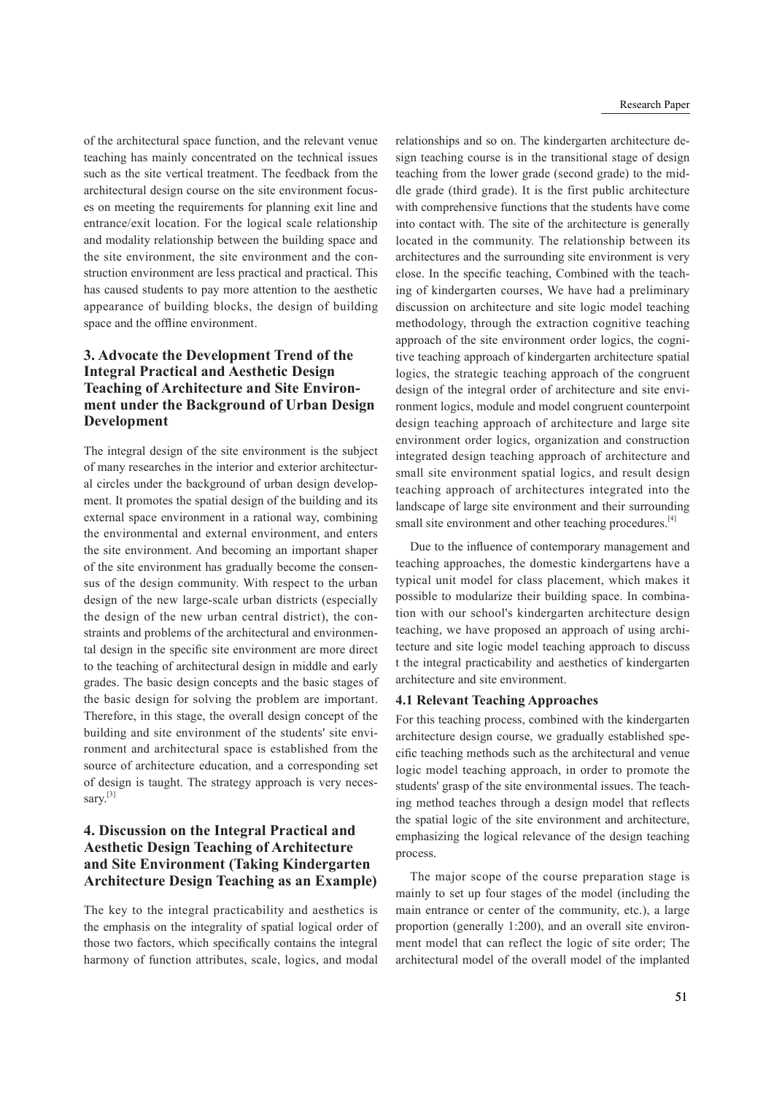of the architectural space function, and the relevant venue teaching has mainly concentrated on the technical issues such as the site vertical treatment. The feedback from the architectural design course on the site environment focuses on meeting the requirements for planning exit line and entrance/exit location. For the logical scale relationship and modality relationship between the building space and the site environment, the site environment and the construction environment are less practical and practical. This has caused students to pay more attention to the aesthetic appearance of building blocks, the design of building space and the offline environment.

# 3. Advocate the Development Trend of the Integral Practical and Aesthetic Design Teaching of Architecture and Site Environment under the Background of Urban Design Development

The integral design of the site environment is the subject of many researches in the interior and exterior architectural circles under the background of urban design development. It promotes the spatial design of the building and its external space environment in a rational way, combining the environmental and external environment, and enters the site environment. And becoming an important shaper of the site environment has gradually become the consensus of the design community. With respect to the urban design of the new large-scale urban districts (especially the design of the new urban central district), the constraints and problems of the architectural and environmental design in the specific site environment are more direct to the teaching of architectural design in middle and early grades. The basic design concepts and the basic stages of the basic design for solving the problem are important. Therefore, in this stage, the overall design concept of the building and site environment of the students' site environment and architectural space is established from the source of architecture education, and a corresponding set of design is taught. The strategy approach is very necessary.<sup>[3]</sup>

## 4. Discussion on the Integral Practical and Aesthetic Design Teaching of Architecture and Site Environment (Taking Kindergarten Architecture Design Teaching as an Example)

The key to the integral practicability and aesthetics is the emphasis on the integrality of spatial logical order of those two factors, which specifically contains the integral harmony of function attributes, scale, logics, and modal

relationships and so on. The kindergarten architecture design teaching course is in the transitional stage of design teaching from the lower grade (second grade) to the middle grade (third grade). It is the first public architecture with comprehensive functions that the students have come into contact with. The site of the architecture is generally located in the community. The relationship between its architectures and the surrounding site environment is very close. In the specific teaching, Combined with the teaching of kindergarten courses, We have had a preliminary discussion on architecture and site logic model teaching methodology, through the extraction cognitive teaching approach of the site environment order logics, the cognitive teaching approach of kindergarten architecture spatial logics, the strategic teaching approach of the congruent design of the integral order of architecture and site environment logics, module and model congruent counterpoint design teaching approach of architecture and large site environment order logics, organization and construction integrated design teaching approach of architecture and small site environment spatial logics, and result design teaching approach of architectures integrated into the landscape of large site environment and their surrounding small site environment and other teaching procedures.<sup>[4]</sup>

Due to the influence of contemporary management and teaching approaches, the domestic kindergartens have a typical unit model for class placement, which makes it possible to modularize their building space. In combination with our school's kindergarten architecture design teaching, we have proposed an approach of using architecture and site logic model teaching approach to discuss t the integral practicability and aesthetics of kindergarten architecture and site environment.

#### 4.1 Relevant Teaching Approaches

For this teaching process, combined with the kindergarten architecture design course, we gradually established specific teaching methods such as the architectural and venue logic model teaching approach, in order to promote the students' grasp of the site environmental issues. The teaching method teaches through a design model that reflects the spatial logic of the site environment and architecture, emphasizing the logical relevance of the design teaching process.

The major scope of the course preparation stage is mainly to set up four stages of the model (including the main entrance or center of the community, etc.), a large proportion (generally 1:200), and an overall site environment model that can reflect the logic of site order; The architectural model of the overall model of the implanted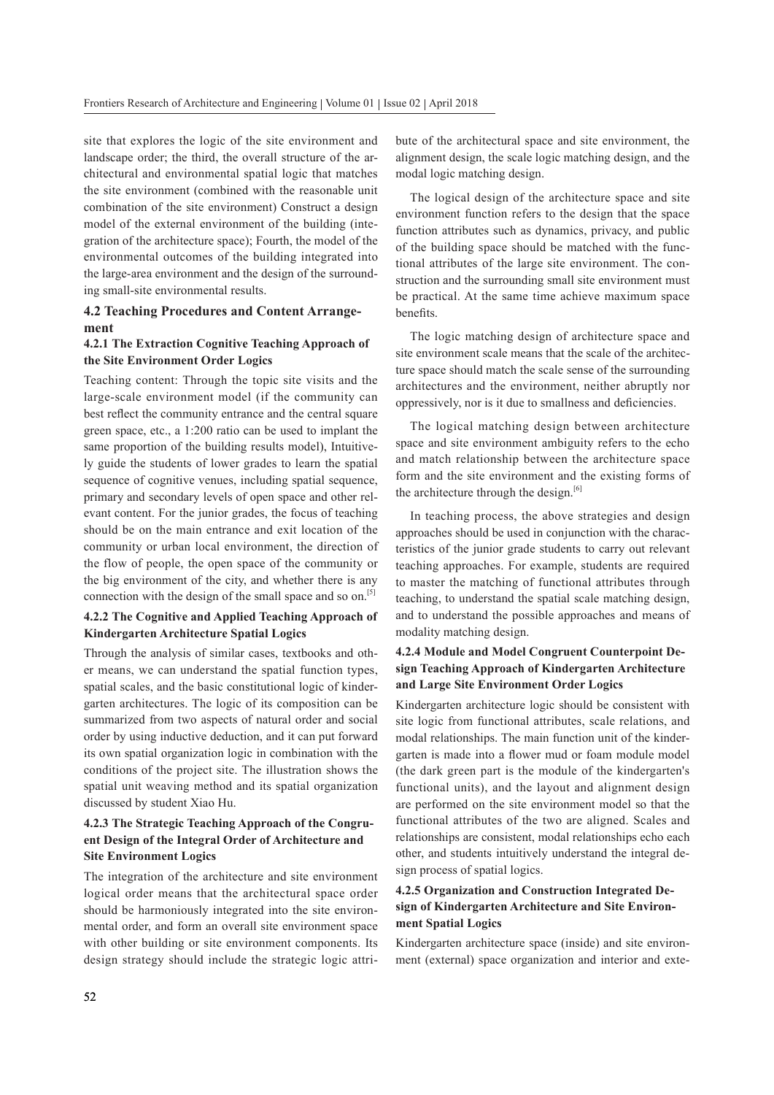site that explores the logic of the site environment and landscape order; the third, the overall structure of the architectural and environmental spatial logic that matches the site environment (combined with the reasonable unit combination of the site environment) Construct a design model of the external environment of the building (integration of the architecture space); Fourth, the model of the environmental outcomes of the building integrated into the large-area environment and the design of the surrounding small-site environmental results.

#### 4.2 Teaching Procedures and Content Arrangement

#### 4.2.1 The Extraction Cognitive Teaching Approach of the Site Environment Order Logics

Teaching content: Through the topic site visits and the large-scale environment model (if the community can best reflect the community entrance and the central square green space, etc., a 1:200 ratio can be used to implant the same proportion of the building results model), Intuitively guide the students of lower grades to learn the spatial sequence of cognitive venues, including spatial sequence, primary and secondary levels of open space and other relevant content. For the junior grades, the focus of teaching should be on the main entrance and exit location of the community or urban local environment, the direction of the flow of people, the open space of the community or the big environment of the city, and whether there is any connection with the design of the small space and so on.<sup>[5]</sup>

#### 4.2.2 The Cognitive and Applied Teaching Approach of Kindergarten Architecture Spatial Logics

Through the analysis of similar cases, textbooks and other means, we can understand the spatial function types, spatial scales, and the basic constitutional logic of kindergarten architectures. The logic of its composition can be summarized from two aspects of natural order and social order by using inductive deduction, and it can put forward its own spatial organization logic in combination with the conditions of the project site. The illustration shows the spatial unit weaving method and its spatial organization discussed by student Xiao Hu.

#### 4.2.3 The Strategic Teaching Approach of the Congruent Design of the Integral Order of Architecture and Site Environment Logics

The integration of the architecture and site environment logical order means that the architectural space order should be harmoniously integrated into the site environmental order, and form an overall site environment space with other building or site environment components. Its design strategy should include the strategic logic attribute of the architectural space and site environment, the alignment design, the scale logic matching design, and the modal logic matching design.

The logical design of the architecture space and site environment function refers to the design that the space function attributes such as dynamics, privacy, and public of the building space should be matched with the functional attributes of the large site environment. The construction and the surrounding small site environment must be practical. At the same time achieve maximum space benefits.

The logic matching design of architecture space and site environment scale means that the scale of the architecture space should match the scale sense of the surrounding architectures and the environment, neither abruptly nor oppressively, nor is it due to smallness and deciencies.

The logical matching design between architecture space and site environment ambiguity refers to the echo and match relationship between the architecture space form and the site environment and the existing forms of the architecture through the design.<sup>[6]</sup>

In teaching process, the above strategies and design approaches should be used in conjunction with the characteristics of the junior grade students to carry out relevant teaching approaches. For example, students are required to master the matching of functional attributes through teaching, to understand the spatial scale matching design, and to understand the possible approaches and means of modality matching design.

#### 4.2.4 Module and Model Congruent Counterpoint Design Teaching Approach of Kindergarten Architecture and Large Site Environment Order Logics

Kindergarten architecture logic should be consistent with site logic from functional attributes, scale relations, and modal relationships. The main function unit of the kindergarten is made into a flower mud or foam module model (the dark green part is the module of the kindergarten's functional units), and the layout and alignment design are performed on the site environment model so that the functional attributes of the two are aligned. Scales and relationships are consistent, modal relationships echo each other, and students intuitively understand the integral design process of spatial logics.

#### 4.2.5 Organization and Construction Integrated Design of Kindergarten Architecture and Site Environment Spatial Logics

Kindergarten architecture space (inside) and site environment (external) space organization and interior and exte